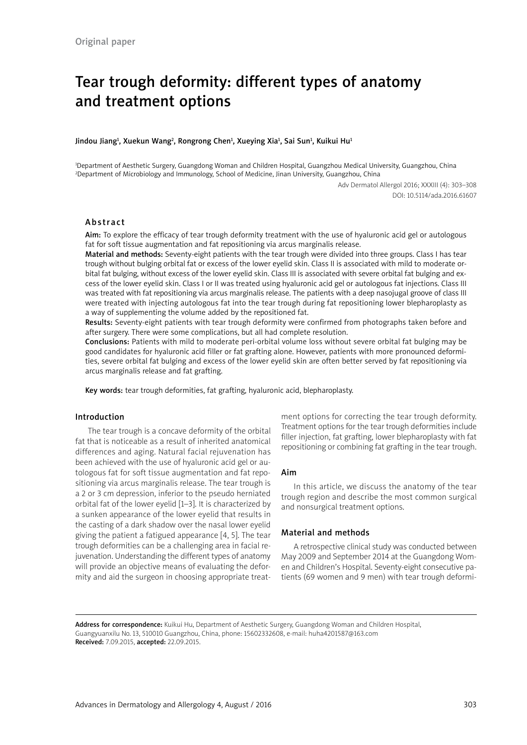# Tear trough deformity: different types of anatomy and treatment options

#### Jindou Jiang<sup>1</sup>, Xuekun Wang<sup>2</sup>, Rongrong Chen<sup>1</sup>, Xueying Xia<sup>1</sup>, Sai Sun<sup>1</sup>, Kuikui Hu<sup>1</sup>

1 Department of Aesthetic Surgery, Guangdong Woman and Children Hospital, Guangzhou Medical University, Guangzhou, China 2 Department of Microbiology and Immunology, School of Medicine, Jinan University, Guangzhou, China

> Adv Dermatol Allergol 2016; XXXIII (4): 303–308 DOI: 10.5114/ada.2016.61607

#### Abstract

Aim: To explore the efficacy of tear trough deformity treatment with the use of hyaluronic acid gel or autologous fat for soft tissue augmentation and fat repositioning via arcus marginalis release.

Material and methods: Seventy-eight patients with the tear trough were divided into three groups. Class I has tear trough without bulging orbital fat or excess of the lower eyelid skin. Class II is associated with mild to moderate orbital fat bulging, without excess of the lower eyelid skin. Class III is associated with severe orbital fat bulging and excess of the lower eyelid skin. Class I or II was treated using hyaluronic acid gel or autologous fat injections. Class III was treated with fat repositioning via arcus marginalis release. The patients with a deep nasojugal groove of class III were treated with injecting autologous fat into the tear trough during fat repositioning lower blepharoplasty as a way of supplementing the volume added by the repositioned fat.

Results: Seventy-eight patients with tear trough deformity were confirmed from photographs taken before and after surgery. There were some complications, but all had complete resolution.

Conclusions: Patients with mild to moderate peri-orbital volume loss without severe orbital fat bulging may be good candidates for hyaluronic acid filler or fat grafting alone. However, patients with more pronounced deformities, severe orbital fat bulging and excess of the lower eyelid skin are often better served by fat repositioning via arcus marginalis release and fat grafting.

Key words: tear trough deformities, fat grafting, hyaluronic acid, blepharoplasty.

#### Introduction

The tear trough is a concave deformity of the orbital fat that is noticeable as a result of inherited anatomical differences and aging. [Natural facial rejuvenation](http://www.haosou.com/link?url=http%3A%2F%2Fpgfoundry.org%2Ftracker%2Fdownload.php%2F1000350%2F1194%2F1011456%2F1458%2Fpost245.html&q=+has+achieved+a+natural+rejuvenation.+&ts=1441588312&t=34736d7713b9a7d1f65a55682b22999&src=haosou) has been achieved with the use of hyaluronic acid gel or autologous fat for soft tissue augmentation and fat repositioning via arcus marginalis release. The tear trough is a 2 or 3 cm depression, inferior to the pseudo herniated orbital fat of the lower eyelid [1–3]. It is characterized by a sunken appearance of the lower eyelid that results in the casting of a dark shadow over the nasal lower eyelid giving the patient a fatigued appearance [4, 5]. The tear trough deformities can be a challenging area in facial rejuvenation. Understanding the different types of anatomy will provide an objective means of evaluating the deformity and aid the surgeon in choosing appropriate treatment options for correcting the tear trough deformity. Treatment options for the tear trough deformities include filler injection, fat grafting, lower blepharoplasty with fat repositioning or combining fat grafting in the tear trough.

#### Aim

In this article, we discuss the anatomy of the tear trough region and describe the most common surgical and nonsurgical treatment options.

## Material and methods

A retrospective clinical study was conducted between May 2009 and September 2014 at the Guangdong Women and Children's Hospital. Seventy-eight consecutive patients (69 women and 9 men) with tear trough deformi-

Address for correspondence: Kuikui Hu, Department of Aesthetic Surgery, Guangdong Woman and Children Hospital, Guangyuanxilu No. 13, 510010 Guangzhou, China, phone: 15602332608, e-mail: huha4201587@163.com Received: 7.09.2015, accepted: 22.09.2015.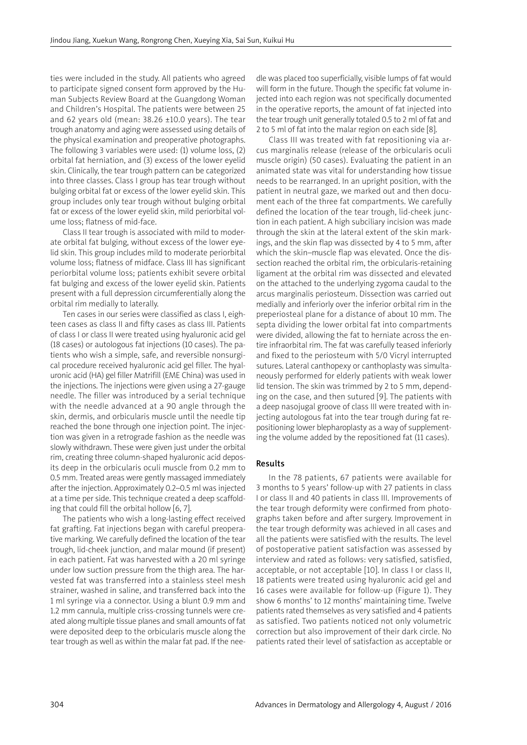ties were included in the study. All patients who agreed to participate signed consent form approved by the Human Subjects Review Board at the Guangdong Woman and Children's Hospital. The patients were between 25 and 62 years old (mean:  $38.26 \pm 10.0$  years). The tear trough anatomy and aging were assessed using details of the physical examination and preoperative photographs. The following 3 variables were used: (1) volume loss, (2) orbital fat herniation, and (3) excess of the lower eyelid skin. Clinically, the tear trough pattern can be categorized into three classes. Class I group has tear trough without bulging orbital fat or excess of the lower eyelid skin. This group includes only tear trough without bulging orbital fat or excess of the lower eyelid skin, mild periorbital volume loss; flatness of mid-face.

Class II tear trough is associated with mild to moderate orbital fat bulging, without excess of the lower eyelid skin. This group includes mild to moderate periorbital volume loss; flatness of midface. Class III has significant periorbital volume loss; patients exhibit severe orbital fat bulging and excess of the lower eyelid skin. Patients present with a full depression circumferentially along the orbital rim medially to laterally.

Ten cases in our series were classified as class I, eighteen cases as class II and fifty cases as class III. Patients of class I or class II were treated using hyaluronic acid gel (18 cases) or autologous fat injections (10 cases). The patients who wish a simple, safe, and reversible nonsurgical procedure received hyaluronic acid gel filler. The hyaluronic acid (HA) gel filler Matrifill (EME China) was used in the injections. The injections were given using a 27-gauge needle. The filler was introduced by a serial technique with the needle advanced at a 90 angle through the skin, dermis, and orbicularis muscle until the needle tip reached the bone through one injection point. The injection was given in a retrograde fashion as the needle was slowly withdrawn. These were given just under the orbital rim, creating three column-shaped hyaluronic acid deposits deep in the orbicularis oculi muscle from 0.2 mm to 0.5 mm. Treated areas were gently massaged immediately after the injection. Approximately 0.2–0.5 ml was injected at a time per side. This technique created a deep scaffolding that could fill the orbital hollow [6, 7].

The patients who wish a long-lasting effect received fat grafting. Fat injections began with careful preoperative marking. We carefully defined the location of the tear trough, lid-cheek junction, and malar mound (if present) in each patient. Fat was harvested with a 20 ml syringe under low suction pressure from the thigh area. The harvested fat was transferred into a stainless steel mesh strainer, washed in saline, and transferred back into the 1 ml syringe via a connector. Using a blunt 0.9 mm and 1.2 mm cannula, multiple criss-crossing tunnels were created along multiple tissue planes and small amounts of fat were deposited deep to the orbicularis muscle along the tear trough as well as within the malar fat pad. If the needle was placed too superficially, visible lumps of fat would will form in the future. Though the specific fat volume injected into each region was not specifically documented in the operative reports, the amount of fat injected into the tear trough unit generally totaled 0.5 to 2 ml of fat and 2 to 5 ml of fat into the malar region on each side [8].

Class III was treated with fat repositioning via arcus marginalis release (release of the orbicularis oculi muscle origin) (50 cases). Evaluating the patient in an animated state was vital for understanding how tissue needs to be rearranged. In an upright position, with the patient in neutral gaze, we marked out and then document each of the three fat compartments. We carefully defined the location of the tear trough, lid-cheek junction in each patient. A high subciliary incision was made through the skin at the lateral extent of the skin markings, and the skin flap was dissected by 4 to 5 mm, after which the skin–muscle flap was elevated. Once the dissection reached the orbital rim, the orbicularis-retaining ligament at the orbital rim was dissected and elevated on the attached to the underlying zygoma caudal to the arcus marginalis periosteum. Dissection was carried out medially and inferiorly over the inferior orbital rim in the preperiosteal plane for a distance of about 10 mm. The septa dividing the lower orbital fat into compartments were divided, allowing the fat to herniate across the entire infraorbital rim. The fat was carefully teased inferiorly and fixed to the periosteum with 5/0 Vicryl interrupted sutures. Lateral canthopexy or canthoplasty was simultaneously performed for elderly patients with weak lower lid tension. The skin was trimmed by 2 to 5 mm, depending on the case, and then sutured [9]. The patients with a deep nasojugal groove of class III were treated with injecting autologous fat into the tear trough during fat repositioning lower blepharoplasty as a way of supplementing the volume added by the repositioned fat (11 cases).

## Results

In the 78 patients, 67 patients were available for 3 months to 5 years' follow-up with 27 patients in class I or class II and 40 patients in class III. Improvements of the tear trough deformity were confirmed from photographs taken before and after surgery. Improvement in the tear trough deformity was achieved in all cases and all the patients were satisfied with the results. The level of postoperative patient satisfaction was assessed by interview and rated as follows: very satisfied, satisfied, acceptable, or not acceptable [10]. In class I or class II, 18 patients were treated using hyaluronic acid gel and 16 cases were available for follow-up (Figure 1). They show 6 months' to 12 months' maintaining time. Twelve patients rated themselves as very satisfied and 4 patients as satisfied. Two patients noticed not only volumetric correction but also improvement of their dark circle. No patients rated their level of satisfaction as acceptable or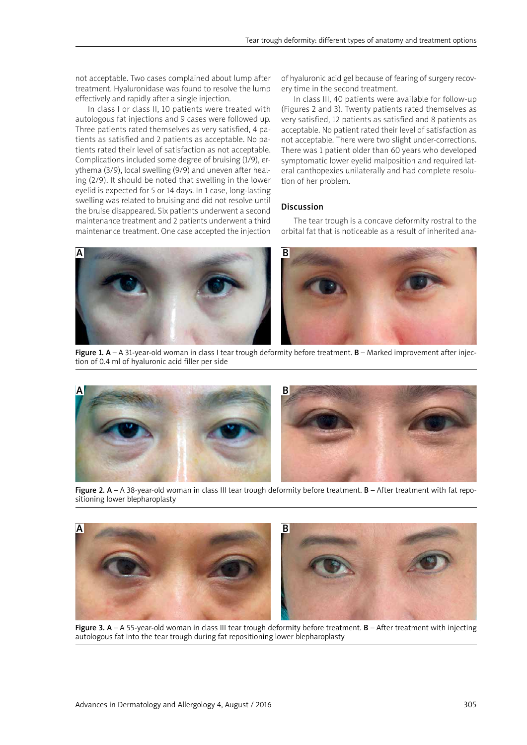not acceptable. Two cases complained about lump after treatment. Hyaluronidase was found to resolve the lump effectively and rapidly after a single injection.

In class I or class II, 10 patients were treated with autologous fat injections and 9 cases were followed up. Three patients rated themselves as very satisfied, 4 patients as satisfied and 2 patients as acceptable. No patients rated their level of satisfaction as not acceptable. Complications included some degree of bruising (1/9), erythema (3/9), local swelling (9/9) and uneven after healing (2/9). It should be noted that swelling in the lower eyelid is expected for 5 or 14 days. In 1 case, long-lasting swelling was related to bruising and did not resolve until the bruise disappeared. Six patients underwent a second maintenance treatment and 2 patients underwent a third maintenance treatment. One case accepted the injection

of hyaluronic acid gel because of fearing of surgery recovery time in the second treatment.

In class III, 40 patients were available for follow-up (Figures 2 and 3). Twenty patients rated themselves as very satisfied, 12 patients as satisfied and 8 patients as acceptable. No patient rated their level of satisfaction as not acceptable. There were two slight under-corrections. There was 1 patient older than 60 years who developed symptomatic lower eyelid malposition and required lateral canthopexies unilaterally and had complete resolution of her problem.

## Discussion

The tear trough is a concave deformity rostral to the orbital fat that is noticeable as a result of inherited ana-





Figure 1.  $A - A$  31-year-old woman in class I tear trough deformity before treatment.  $B -$ Marked improvement after injection of 0.4 ml of hyaluronic acid filler per side



Figure 2.  $A - A$  38-year-old woman in class III tear trough deformity before treatment.  $B - A$ fter treatment with fat repositioning lower blepharoplasty



Figure 3.  $A - A$  55-year-old woman in class III tear trough deformity before treatment.  $B - A$ fter treatment with injecting autologous fat into the tear trough during fat repositioning lower blepharoplasty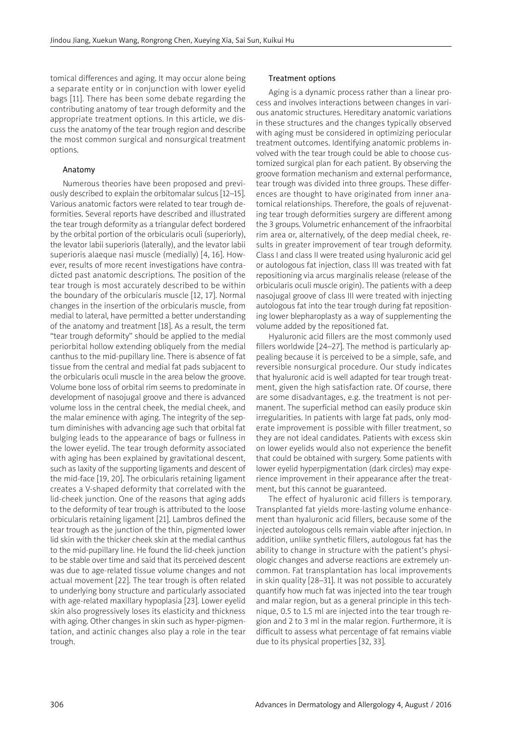tomical differences and aging. It may occur alone being a separate entity or in conjunction with lower eyelid bags [11]. There has been some debate regarding the contributing anatomy of tear trough deformity and the appropriate treatment options. In this article, we discuss the anatomy of the tear trough region and describe the most common surgical and nonsurgical treatment options.

## Anatomy

Numerous theories have been proposed and previously described to explain the orbitomalar sulcus [12–15]. Various anatomic factors were related to tear trough deformities. Several reports have described and illustrated the tear trough deformity as a triangular defect bordered by the orbital portion of the orbicularis oculi (superiorly), the levator labii superioris (laterally), and the levator labii superioris alaeque nasi muscle (medially) [4, 16]. However, results of more recent investigations have contradicted past anatomic descriptions. The position of the tear trough is most accurately described to be within the boundary of the orbicularis muscle [12, 17]. Normal changes in the insertion of the orbicularis muscle, from medial to lateral, have permitted a better understanding of the anatomy and treatment [18]. As a result, the term "tear trough deformity" should be applied to the medial periorbital hollow extending obliquely from the medial canthus to the mid-pupillary line. There is absence of fat tissue from the central and medial fat pads subjacent to the orbicularis oculi muscle in the area below the groove. Volume bone loss of orbital rim seems to predominate in development of nasojugal groove and there is advanced volume loss in the central cheek, the medial cheek, and the malar eminence with aging. The integrity of the septum diminishes with advancing age such that orbital fat bulging leads to the appearance of bags or fullness in the lower eyelid. The tear trough deformity associated with aging has been explained by gravitational descent, such as laxity of the supporting ligaments and descent of the mid-face [19, 20]. The orbicularis retaining ligament creates a V-shaped deformity that correlated with the lid-cheek junction. One of the reasons that aging adds to the deformity of tear trough is attributed to the loose orbicularis retaining ligament [21]. Lambros defined the tear trough as the junction of the thin, pigmented lower lid skin with the thicker cheek skin at the medial canthus to the mid-pupillary line. He found the lid-cheek junction to be stable over time and said that its perceived descent was due to age-related tissue volume changes and not actual movement [22]. The tear trough is often related to underlying bony structure and particularly associated with age-related maxillary hypoplasia [23]. Lower eyelid skin also progressively loses its elasticity and thickness with aging. Other changes in skin such as hyper-pigmentation, and actinic changes also play a role in the tear trough.

## Treatment options

Aging is a dynamic process rather than a linear process and involves interactions between changes in various anatomic structures. Hereditary anatomic variations in these structures and the changes typically observed with aging must be considered in optimizing periocular treatment outcomes. Identifying anatomic problems involved with the tear trough could be able to choose customized surgical plan for each patient. By observing the groove formation mechanism and external performance, tear trough was divided into three groups. These differences are thought to have originated from inner anatomical relationships. Therefore, the goals of rejuvenating tear trough deformities surgery are different among the 3 groups. Volumetric enhancement of the infraorbital rim area or, alternatively, of the deep medial cheek, results in greater improvement of tear trough deformity. Class I and class II were treated using hyaluronic acid gel or autologous fat injection, class III was treated with fat repositioning via arcus marginalis release (release of the orbicularis oculi muscle origin). The patients with a deep nasojugal groove of class III were treated with injecting autologous fat into the tear trough during fat repositioning lower blepharoplasty as a way of supplementing the volume added by the repositioned fat.

Hyaluronic acid fillers are the most commonly used fillers worldwide [24–27]. The method is particularly appealing because it is perceived to be a simple, safe, and reversible nonsurgical procedure. Our study indicates that hyaluronic acid is well adapted for tear trough treatment, given the high satisfaction rate. Of course, there are some disadvantages, e.g. the treatment is not permanent. The superficial method can easily produce skin irregularities. In patients with large fat pads, only moderate improvement is possible with filler treatment, so they are not ideal candidates. Patients with excess skin on lower eyelids would also not experience the benefit that could be obtained with surgery. Some patients with lower eyelid hyperpigmentation (dark circles) may experience improvement in their appearance after the treatment, but this cannot be guaranteed.

The effect of hyaluronic acid fillers is temporary. Transplanted fat yields more-lasting volume enhancement than hyaluronic acid fillers, because some of the injected autologous cells remain viable after injection. In addition, unlike synthetic fillers, autologous fat has the ability to change in structure with the patient's physiologic changes and adverse reactions are extremely uncommon. Fat transplantation has local improvements in skin quality [28–31]. It was not possible to accurately quantify how much fat was injected into the tear trough and malar region, but as a general principle in this technique, 0.5 to 1.5 ml are injected into the tear trough region and 2 to 3 ml in the malar region. Furthermore, it is difficult to assess what percentage of fat remains viable due to its physical properties [32, 33].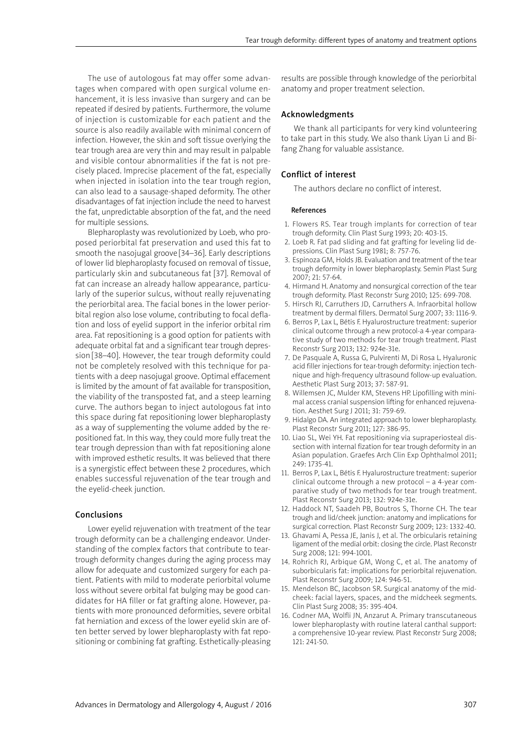The use of autologous fat may offer some advantages when compared with open surgical volume enhancement, it is less invasive than surgery and can be repeated if desired by patients. Furthermore, the volume of injection is customizable for each patient and the source is also readily available with minimal concern of infection. However, the skin and soft tissue overlying the tear trough area are very thin and may result in palpable and visible contour abnormalities if the fat is not precisely placed. Imprecise placement of the fat, especially when injected in isolation into the tear trough region, can also lead to a sausage-shaped deformity. The other disadvantages of fat injection include the need to harvest the fat, unpredictable absorption of the fat, and the need for multiple sessions.

Blepharoplasty was revolutionized by Loeb, who proposed periorbital fat preservation and used this fat to smooth the nasojugal groove [34–36]. Early descriptions of lower lid blepharoplasty focused on removal of tissue, particularly skin and subcutaneous fat [37]. Removal of fat can increase an already hallow appearance, particularly of the superior sulcus, without really rejuvenating the periorbital area. The facial bones in the lower periorbital region also lose volume, contributing to focal deflation and loss of eyelid support in the inferior orbital rim area. Fat repositioning is a good option for patients with adequate orbital fat and a significant tear trough depression [38–40]. However, the tear trough deformity could not be completely resolved with this technique for patients with a deep nasojugal groove. Optimal effacement is limited by the amount of fat available for transposition, the viability of the transposted fat, and a steep learning curve. The authors began to inject autologous fat into this space during fat repositioning lower blepharoplasty as a way of supplementing the volume added by the repositioned fat. In this way, they could more fully treat the tear trough depression than with fat repositioning alone with improved esthetic results. It was believed that there is a synergistic effect between these 2 procedures, which enables successful rejuvenation of the tear trough and the eyelid-cheek junction.

#### Conclusions

Lower eyelid rejuvenation with treatment of the tear trough deformity can be a challenging endeavor. Understanding of the complex factors that contribute to teartrough deformity changes during the aging process may allow for adequate and customized surgery for each patient. Patients with mild to moderate periorbital volume loss without severe orbital fat bulging may be good candidates for HA filler or fat grafting alone. However, patients with more pronounced deformities, severe orbital fat herniation and excess of the lower eyelid skin are often better served by lower blepharoplasty with fat repositioning or combining fat grafting. Esthetically-pleasing results are possible through knowledge of the periorbital anatomy and proper treatment selection.

## Acknowledgments

We thank all participants for very kind volunteering to take part in this study. We also thank Liyan Li and Bifang Zhang for valuable assistance.

# Conflict of interest

The authors declare no conflict of interest.

#### References

- 1. Flowers RS. Tear trough implants for correction of tear trough deformity. Clin Plast Surg 1993; 20: 403-15.
- 2. Loeb R. Fat pad sliding and fat grafting for leveling lid depressions. Clin Plast Surg 1981; 8: 757-76.
- 3. Espinoza GM, Holds JB. Evaluation and treatment of the tear trough deformity in lower blepharoplasty. Semin Plast Surg 2007; 21: 57-64.
- 4. Hirmand H. Anatomy and nonsurgical correction of the tear trough deformity. Plast Reconstr Surg 2010; 125: 699-708.
- 5. Hirsch RJ, Carruthers JD, Carruthers A. Infraorbital hollow treatment by dermal fillers. Dermatol Surg 2007; 33: 1116-9.
- 6. [Berros P](http://www.ncbi.nlm.nih.gov/pubmed/?term=Berros P%5BAuthor%5D&cauthor=true&cauthor_uid=24281639), [Lax L](http://www.ncbi.nlm.nih.gov/pubmed/?term=Lax L%5BAuthor%5D&cauthor=true&cauthor_uid=24281639), [Bétis F.](http://www.ncbi.nlm.nih.gov/pubmed/?term=B%C3%A9tis F%5BAuthor%5D&cauthor=true&cauthor_uid=24281639) Hyalurostructure treatment: superior clinical outcome through a new protocol-a 4-year comparative study of two methods for tear trough treatment. [Plast](http://www.ncbi.nlm.nih.gov/pubmed/24281639)  [Reconstr Surg](http://www.ncbi.nlm.nih.gov/pubmed/24281639) 2013; 132: 924e-31e.
- 7. [De Pasquale A](http://www.ncbi.nlm.nih.gov/pubmed/?term=De Pasquale A%5BAuthor%5D&cauthor=true&cauthor_uid=23620006), [Russa G,](http://www.ncbi.nlm.nih.gov/pubmed/?term=Russa G%5BAuthor%5D&cauthor=true&cauthor_uid=23620006) [Pulvirenti M,](http://www.ncbi.nlm.nih.gov/pubmed/?term=Pulvirenti M%5BAuthor%5D&cauthor=true&cauthor_uid=23620006) [Di Rosa L.](http://www.ncbi.nlm.nih.gov/pubmed/?term=Di Rosa L%5BAuthor%5D&cauthor=true&cauthor_uid=23620006) Hyaluronic acid filler injections for tear-trough deformity: injection technique and high-frequency ultrasound follow-up evaluation. [Aesthetic Plast Surg](http://www.ncbi.nlm.nih.gov/pubmed/?term=Hyaluronic+Acid+Filler+Injections+for+Tear-Trough+Deformity%3A+Injection+Technique+and+High-Frequency+Ultrasound+Follow-up+Evaluation) 2013; 37: 587-91.
- 8. [Willemsen JC](http://www.ncbi.nlm.nih.gov/pubmed/?term=Willemsen JC%5BAuthor%5D&cauthor=true&cauthor_uid=21908808), [Mulder KM](http://www.ncbi.nlm.nih.gov/pubmed/?term=Mulder KM%5BAuthor%5D&cauthor=true&cauthor_uid=21908808), [Stevens HP](http://www.ncbi.nlm.nih.gov/pubmed/?term=Stevens HP%5BAuthor%5D&cauthor=true&cauthor_uid=21908808). Lipofilling with minimal access cranial suspension lifting for enhanced rejuvenation. [Aesthet Surg J](http://www.ncbi.nlm.nih.gov/pubmed/?term=Lipofilling+With+Minimal+Access+Cranial+Suspension+Lifting+for+Enhanced+Rejuvenation) 2011; 31: 759-69.
- 9. [Hidalgo DA](http://www.ncbi.nlm.nih.gov/pubmed/?term=Hidalgo DA%5BAuthor%5D&cauthor=true&cauthor_uid=21200234). An integrated approach to lower blepharoplasty. [Plast Reconstr Surg](http://www.ncbi.nlm.nih.gov/pubmed/21200234/) 2011; 127: 386-95.
- 10. Liao SL, Wei YH. Fat repositioning via supraperiosteal dissection with internal fization for tear trough deformity in an Asian population. Graefes Arch Clin Exp Ophthalmol 2011; 249: 1735-41.
- 11. [Berros P](http://www.ncbi.nlm.nih.gov/pubmed/?term=Berros P%5BAuthor%5D&cauthor=true&cauthor_uid=24281639), [Lax L](http://www.ncbi.nlm.nih.gov/pubmed/?term=Lax L%5BAuthor%5D&cauthor=true&cauthor_uid=24281639), [Bétis F.](http://www.ncbi.nlm.nih.gov/pubmed/?term=B%C3%A9tis F%5BAuthor%5D&cauthor=true&cauthor_uid=24281639) Hyalurostructure treatment: superior clinical outcome through a new protocol – a 4-year comparative study of two methods for tear trough treatment. [Plast Reconstr Surg 2](http://www.ncbi.nlm.nih.gov/pubmed/?term=Hyalurostructure+Treatment%3A+Superior+Clinical+Outcome+through+a+New+Protocol)013; 132: 924e-31e.
- 12. Haddock NT, Saadeh PB, Boutros S, Thorne CH. The tear trough and lid/cheek junction: anatomy and implications for surgical correction. Plast Reconstr Surg 2009; 123: 1332-40.
- 13. Ghavami A, Pessa JE, Janis J, et al. The orbicularis retaining ligament of the medial orbit: closing the circle. Plast Reconstr Surg 2008; 121: 994-1001.
- 14. Rohrich RJ, Arbique GM, Wong C, et al. The anatomy of suborbicularis fat: implications for periorbital rejuvenation. Plast Reconstr Surg 2009; 124: 946-51.
- 15. Mendelson BC, Jacobson SR. Surgical anatomy of the midcheek: facial layers, spaces, and the midcheek segments. Clin Plast Surg 2008; 35: 395-404.
- 16. Codner MA, Wolfli JN, Anzarut A. Primary transcutaneous lower blepharoplasty with routine lateral canthal support: a comprehensive 10-year review. Plast Reconstr Surg 2008; 121: 241-50.